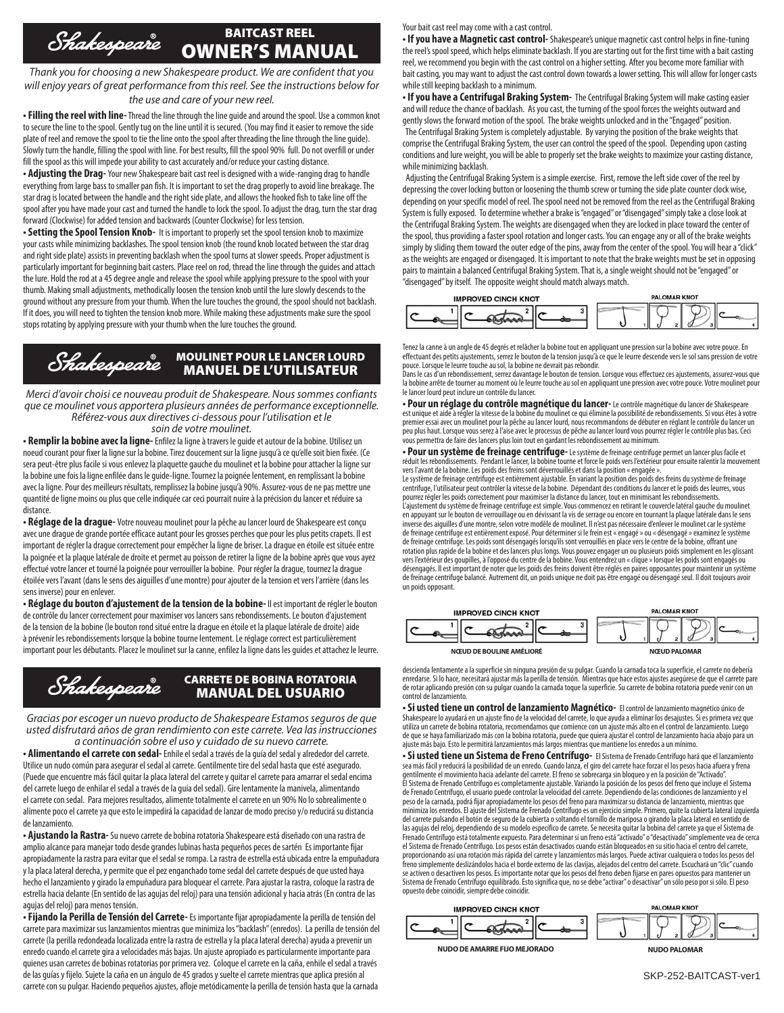## BAITCAST REEL Shakespeare OWNER'S MANUAL

*Thank you for choosing a new Shakespeare product. We are confident that you will enjoy years of great performance from this reel. See the instructions below for the use and care of your new reel.*

**• Filling the reel with line-** Thread the line through the line guide and around the spool. Use a common knot to secure the line to the spool. Gently tug on the line until it is secured. (You may find it easier to remove the side plate of reel and remove the spool to tie the line onto the spool after threading the line through the line guide). Slowly turn the handle, filling the spool with line. For best results, fill the spool 90% full. Do not overfill or under fill the spool as this will impede your ability to cast accurately and/or reduce your casting distance.

**• Adjusting the Drag-** Your new Shakespeare bait cast reel is designed with a wide-ranging drag to handle everything from large bass to smaller pan fish. It is important to set the drag properly to avoid line breakage. The star drag is located between the handle and the right side plate, and allows the hooked fish to take line off the spool after you have made your cast and turned the handle to lock the spool. To adjust the drag, turn the star drag forward (Clockwise) for added tension and backwards (Counter Clockwise) for less tension.

**• Setting the Spool Tension Knob-** It is important to properly set the spool tension knob to maximize your casts while minimizing backlashes. The spool tension knob (the round knob located between the star drag and right side plate) assists in preventing backlash when the spool turns at slower speeds. Proper adjustment is particularly important for beginning bait casters. Place reel on rod, thread the line through the guides and attach the lure. Hold the rod at a 45 degree angle and release the spool while applying pressure to the spool with your thumb. Making small adjustments, methodically loosen the tension knob until the lure slowly descends to the ground without any pressure from your thumb. When the lure touches the ground, the spool should not backlash. If it does, you will need to tighten the tension knob more. While making these adjustments make sure the spool stops rotating by applying pressure with your thumb when the lure touches the ground.

#### Shakespeare MOULINET POUR LE LANCER LOURD MANUEL DE L'UTILISATEUR

*Merci d'avoir choisi ce nouveau produit de Shakespeare. Nous sommes confiants que ce moulinet vous apportera plusieurs années de performance exceptionnelle. Référez-vous aux directives ci-dessous pour l'utilisation et le soin de votre moulinet.*

**• Remplir la bobine avec la ligne-** Enfilez la ligne à travers le guide et autour de la bobine. Utilisez un noeud courant pour fixer la ligne sur la bobine. Tirez doucement sur la ligne jusqu'à ce qu'elle soit bien fixée. (Ce sera peut-être plus facile si vous enlevez la plaquette gauche du moulinet et la bobine pour attacher la ligne sur la bobine une fois la ligne enfilée dans le guide-ligne. Tournez la poignée lentement, en remplissant la bobine avec la ligne. Pour des meilleurs résultats, remplissez la bobine jusqu'à 90%. Assurez-vous de ne pas mettre une quantité de ligne moins ou plus que celle indiquée car ceci pourrait nuire à la précision du lancer et réduire sa distance.

**• Réglage de la drague-** Votre nouveau moulinet pour la pêche au lancer lourd de Shakespeare est conçu avec une drague de grande portée efficace autant pour les grosses perches que pour les plus petits crapets. Il est important de régler la drague correctement pour empêcher la ligne de briser. La drague en étoile est située entre la poignée et la plaque latérale de droite et permet au poisson de retirer la ligne de la bobine après que vous ayez effectué votre lancer et tourné la poignée pour verrouiller la bobine. Pour régler la drague, tournez la drague étoilée vers l'avant (dans le sens des aiguilles d'une montre) pour ajouter de la tension et vers l'arrière (dans les sens inverse) pour en enlever.

**• Réglage du bouton d'ajustement de la tension de la bobine-** Il est important de régler le bouton de contrôle du lancer correctement pour maximiser vos lancers sans rebondissements. Le bouton d'ajustement de la tension de la bobine (le bouton rond situé entre la drague en étoile et la plaque latérale de droite) aide à prévenir les rebondissements lorsque la bobine tourne lentement. Le réglage correct est particulièrement important pour les débutants. Placez le moulinet sur la canne, enfilez la ligne dans les guides et attachez le leurre.



*Gracias por escoger un nuevo producto de Shakespeare Estamos seguros de que usted disfrutará años de gran rendimiento con este carrete. Vea las instrucciones a continuación sobre el uso y cuidado de su nuevo carrete.*

**• Alimentando el carrete con sedal-** Enhile el sedal a través de la guía del sedal y alrededor del carrete. Utilice un nudo común para asegurar el sedal al carrete. Gentilmente tire del sedal hasta que esté asegurado. (Puede que encuentre más fácil quitar la placa lateral del carrete y quitar el carrete para amarrar el sedal encima del carrete luego de enhilar el sedal a través de la guía del sedal). Gire lentamente la manivela, alimentando el carrete con sedal. Para mejores resultados, alimente totalmente el carrete en un 90% No lo sobrealimente o alimente poco el carrete ya que esto le impedirá la capacidad de lanzar de modo preciso y/o reducirá su distancia de lanzamiento.

**• Ajustando la Rastra-** Su nuevo carrete de bobina rotatoria Shakespeare está diseñado con una rastra de amplio alcance para manejar todo desde grandes lubinas hasta pequeños peces de sartén Es importante fijar apropiadamente la rastra para evitar que el sedal se rompa. La rastra de estrella está ubicada entre la empuñadura y la placa lateral derecha, y permite que el pez enganchado tome sedal del carrete después de que usted haya hecho el lanzamiento y girado la empuñadura para bloquear el carrete. Para ajustar la rastra, coloque la rastra de estrella hacia delante (En sentido de las agujas del reloj) para una tensión adicional y hacia atrás (En contra de las agujas del reloj) para menos tensión.

**• Fijando la Perilla de Tensión del Carrete-** Es importante fijar apropiadamente la perilla de tensión del carrete para maximizar sus lanzamientos mientras que minimiza los "backlash" (enredos). La perilla de tensión del carrete (la perilla redondeada localizada entre la rastra de estrella y la placa lateral derecha) ayuda a prevenir un enredo cuando el carrete gira a velocidades más bajas. Un ajuste apropiado es particularmente importante para quienes usan carretes de bobinas rotatorias por primera vez. Coloque el carrete en la caña, enhile el sedal a través de las guías y fíjelo. Sujete la caña en un ángulo de 45 grados y suelte el carrete mientras que aplica presión al carrete con su pulgar. Haciendo pequeños ajustes, afloje metódicamente la perilla de tensión hasta que la carnada

Your bait cast reel may come with a cast control.

**• If you have a Magnetic cast control-** Shakespeare's unique magnetic cast control helps in fine-tuning the reel's spool speed, which helps eliminate backlash. If you are starting out for the first time with a bait casting reel, we recommend you begin with the cast control on a higher setting. After you become more familiar with bait casting, you may want to adjust the cast control down towards a lower setting. This will allow for longer casts while still keeping backlash to a minimum.

**• If you have a Centrifugal Braking System-** The Centrifugal Braking System will make casting easier and will reduce the chance of backlash. As you cast, the turning of the spool forces the weights outward and gently slows the forward motion of the spool. The brake weights unlocked and in the "Engaged" position. The Centrifugal Braking System is completely adjustable. By varying the position of the brake weights that comprise the Centrifugal Braking System, the user can control the speed of the spool. Depending upon casting conditions and lure weight, you will be able to properly set the brake weights to maximize your casting distance, while minimizing backlash.

 Adjusting the Centrifugal Braking System is a simple exercise. First, remove the left side cover of the reel by depressing the cover locking button or loosening the thumb screw or turning the side plate counter clock wise, depending on your specific model of reel. The spool need not be removed from the reel as the Centrifugal Braking System is fully exposed. To determine whether a brake is "engaged" or "disengaged" simply take a close look at the Centrifugal Braking System. The weights are disengaged when they are locked in place toward the center of the spool, thus providing a faster spool rotation and longer casts. You can engage any or all of the brake weights simply by sliding them toward the outer edge of the pins, away from the center of the spool. You will hear a "click" as the weights are engaged or disengaged. It is important to note that the brake weights must be set in opposing pairs to maintain a balanced Centrifugal Braking System. That is, a single weight should not be "engaged" or "disengaged" by itself. The opposite weight should match always match.



Tenez la canne à un angle de 45 degrés et relâcher la bobine tout en appliquant une pression sur la bobine avec votre pouce. En effectuant des petits ajustements, serrez le bouton de la tension jusqu'à ce que le leurre descende vers le sol sans pression de votre<br>pouce. Lorsque le leurre touche au sol, la bobine ne devrait pas rebondir.

Dans le cas d'un rebondissement, serrez davantage le bouton de tension. Lorsque vous effectuez ces ajustements, assurez-vous que la bobine arrête de tourner au moment où le leurre touche au sol en appliquant une pression avec votre pouce. Votre moulinet pour le lancer lourd peut inclure un contrôle du lancer.

**• Pour un réglage du contrôle magnétique du lancer-** Le contrôle magnétique du lancer de Shakespeare est unique et aide à régler la vitesse de la bobine du moulinet ce qui élimine la possibilité de rebondissements. Si vous êtes à votre<br>premier essai avec un moulinet pour la pêche au lancer lourd, nous recommandons de débu peu plus haut. Lorsque vous serez à l'aise avec le processus de pêche au lancer lourd vous pourrez régler le contrôle plus bas. Ceci vous permettra de faire des lancers plus loin tout en gardant les rebondissement au minimum.

**• Pour un système de freinage centrifuge-** Le système de freinage centrifuge permet un lancer plus facile et réduit les rebondissements. Pendant le lancer, la bobine tourne et force le poids vers l'extérieur pour ensuite ralentir la mouvement<br>vers l'avant de la bobine. Les poids des freins sont déverrouillés et dans la position «

Le système de freinage centrifuge est entièrement ajustable. En variant la position des poids des freins du système de freinage centrifuge, l'utilisateur peut contrôler la vitesse de la bobine. Dépendant des conditions du lancer et le poids des leurres, vous<br>pourrez régler les poids correctement pour maximiser la distance du lancer, tout en minimi L'ajustement du système de freinage centrifuge est simple. Vous commencez en retirant le couvercle latéral gauche du moulinet en appuyant sur le bouton de verrouillage ou en dévissant la vis de serrage ou encore en tournant la plaque latérale dans le sens<br>inverse des aiguilles d'une montre, selon votre modèle de moulinet. Il n'est pas nécessaire de freinage centrifuge est entièrement exposé. Pour déterminer si le frein est « engagé » ou « désengagé » examinez le système de freinage centrifuge. Les poids sont désengagés lorsqu'ils sont verrouillés en place vers le centre de la bobine, offrant une<br>rotation plus rapide de la bobine et des lancers plus longs. Vous pouvez engager un ou plusieu vers l'extérieur des goupilles, à l'opposé du centre de la bobine. Vous entendrez un « clique » lorsque les poids sont engagés ou désengagés. Il est important de noter que les poids des freins doivent être réglés en paires opposantes pour maintenir un système<br>de freinage centrifuge balancé. Autrement dit, un poids unique ne doit pas être engagé ou dé un poids opposant.

| <b>IMPROVED CINCH KNOT</b>      | <b>PALOMAR KNOT</b> |
|---------------------------------|---------------------|
|                                 |                     |
| <b>NŒUD DE BOULINE AMÉLIORÉ</b> | <b>NŒUD PALOMAR</b> |

descienda lentamente a la superficie sin ninguna presión de su pulgar. Cuando la carnada toca la superficie, el carrete no debería enredarse. Si lo hace, necesitará ajustar más la perilla de tensión. Mientras que hace estos ajustes asegúrese de que el carrete pare de rotar aplicando presión con su pulgar cuando la carnada toque la superficie. Su carrete de bobina rotatoria puede venir con un control de lanzamiento.

**• Si usted tiene un control de lanzamiento Magnético-** El control de lanzamiento magnético único de Shakespeare lo ayudará en un ajuste fino de la velocidad del carrete, lo que ayuda a eliminar los desajustes. Si es primera vez que utiliza un carrete de bobina rotatoria, recomendamos que comience con un ajuste más alto en el control de lanzamiento. Luego de que se haya familiarizado más con la bobina rotatoria, puede que quiera ajustar el control de lanzamiento hacia abajo para un ajuste más bajo. Esto le permitirá lanzamientos más largos mientras que mantiene los enredos a un mínimo.

**• Si usted tiene un Sistema de Freno Centrífugo-** El Sistema de Frenado Centrífugo hará que el lanzamiento sea más fácil y reducirá la posibilidad de un enredo. Cuando lanza, el giro del carrete hace forzar el los pesos hacia afuera y frena gentilmente el movimiento hacia adelante del carrete. El freno se sobrecarga sin bloqueo y en la posición de "Activado".<br>El Sistema de Frenado Centrífugo es completamente ajustable. Variando la posición de los pesos del fr de Frenado Centrífugo, el usuario puede controlar la velocidad del carrete. Dependiendo de las condiciones de lanzamiento y el peso de la carnada, podrá fijar apropiadamente los pesos del freno para maximizar su distancia de lanzamiento, mientras que minimiza los enredos. El ajuste del Sistema de Frenado Centrífugo es un ejercicio simple. Primero, quite la cubierta lateral izquierda del carrete pulsando el botón de seguro de la cubierta o soltando el tornillo de mariposa o girando la placa lateral en sentido de las agujas del reloj, dependiendo de su modelo específico de carrete. Se necesita quitar la bobina del carrete ya que el Sistema de Frenado Centrífugo está totalmente expuesto. Para determinar si un freno está "activado" o "desactivado" simplemente vea de cerca el Sistema de Frenado Centrífugo. Los pesos están desactivados cuando están bloqueados en su sitio hacia el centro del carrete, proporcionando así una rotación más rápida del carrete y lanzamientos más largos. Puede activar cualquiera o todos los pesos del<br>freno simplemente deslizándolos hacia el borde externo de las clavijas, alejados del centro d se activen o desactiven los pesos. Es importante notar que los pesos del freno deben fijarse en pares opuestos para mantener un Sistema de Frenado Centrífugo equilibrado. Esto significa que, no se debe "activar" o desactivar" un sólo peso por si sólo. El peso opuesto debe coincidir, siempre debe coincidir.